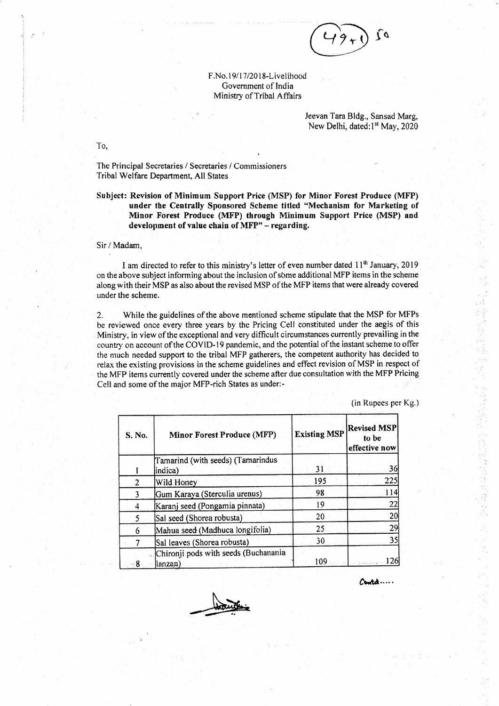

F.No.19/17/2018-Livelihood Government of India Ministry of Tribal Affairs

> Jeevan Tara Bldg., Sansad Marg, New Delhi, dated:1<sup>st</sup> May, 2020

The Principal Secretaries / Secretaries / Commissioners Tribal Welfare Department, All States

Subject: Revision of Minimum Support Price (MSP) for Minor Forest Produce (MFP) under the Centrally Sponsored Scheme titled "Mechanism for Marketing of Minor Forest Produce (MFP) through Minimum Support Price (MSP) and development of value chain of MFP" - regarding.

## Sir / Madam.

To.

I am directed to refer to this ministry's letter of even number dated  $11<sup>th</sup>$  January, 2019 on the above subject informing about the inclusion of some additional MFP items in the scheme along with their MSP as also about the revised MSP of the MFP items that were already covered under the scheme.

While the guidelines of the above mentioned scheme stipulate that the MSP for MFPs  $\overline{2}$ . be reviewed once every three years by the Pricing Cell constituted under the aegis of this Ministry, in view of the exceptional and very difficult circumstances currently prevailing in the country on account of the COVID-19 pandemic, and the potential of the instant scheme to offer the much needed support to the tribal MFP gatherers, the competent authority has decided to relax the existing provisions in the scheme guidelines and effect revision of MSP in respect of the MFP items currently covered under the scheme after due consultation with the MFP Pricing Cell and some of the major MFP-rich States as under:-

(in Rupees per Kg.)

| S. No. | <b>Minor Forest Produce (MFP)</b>                | <b>Existing MSP</b> | <b>Revised MSP</b><br>to be<br>effective now |
|--------|--------------------------------------------------|---------------------|----------------------------------------------|
|        | Tamarind (with seeds) (Tamarindus<br>indica)     | -31                 | 36                                           |
| 2      | Wild Honey                                       | 195                 | 225                                          |
| 3      | Gum Karaya (Sterculia urenus)                    | 98                  | 114                                          |
| 4      | Karanj seed (Pongamia pinnata)                   | 19                  | 22                                           |
| 5      | Sal seed (Shorea robusta)                        | 20                  | 20                                           |
| 6      | Mahua seed (Madhuca longifolia)                  | 25                  | 29                                           |
|        | Sal leaves (Shorea robusta)                      | 30                  | 35                                           |
| - 8    | Chironji pods with seeds (Buchanania<br> lanzan] | 109                 | 126                                          |

 $\mathcal{C}$ ont $\mathcal{A}$  ...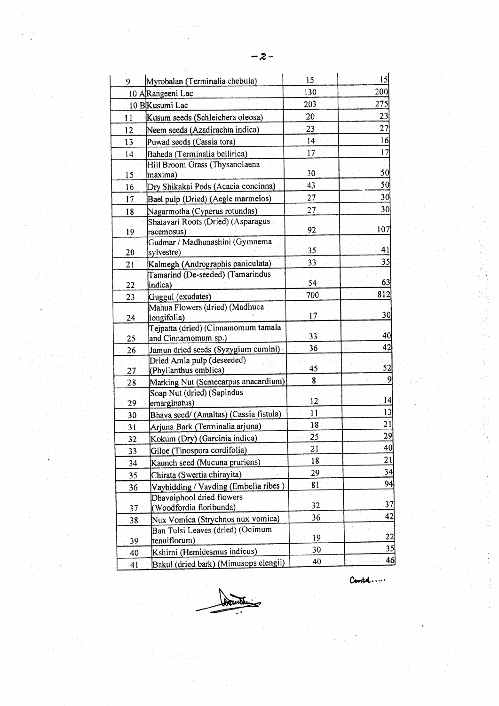| 9.              | Myrobalan (Terminalia chebula)                             | 15              | $\cdot$ 15 |
|-----------------|------------------------------------------------------------|-----------------|------------|
|                 | 10 AlRangeeni Lac                                          | 130             | 200        |
|                 | 10 BKusumi Lac                                             | 203             | 275        |
| 11              | Kusum seeds (Schleichera oleosa)                           | 20              | 23         |
| 12              | Neem seeds (Azadirachta indica)                            | 23              | 27         |
| 13              | Puwad seeds (Cassia tora)                                  | 4               | 16         |
| 14              | Baheda (Terminalia bellirica)                              | 17              | 17         |
| 15              | Hill Broom Grass (Thysanolaena<br>maxima)                  | 30              | 50         |
| 16              | Dry Shikakai Pods (Acacia concinna)                        | 43              | 50         |
| 17              | Bael pulp (Dried) (Aegle marmelos)                         | 27 <sub>1</sub> | 30         |
| 18              | Nagarmotha (Cyperus rotundas)                              | 27              | 30         |
| 19              | Shatavari Roots (Dried) (Asparagus<br>racemosus)           | 92              | 107        |
| $20 \,$         | Gudmar / Madhunashini (Gymnema<br>sylvestre)               | 35.             | 41         |
| 21              | Kalmegh (Andrographis paniculata)                          | 33              | 35         |
| 22              | Tamarind (De-seeded) (Tamarindus<br>indica)                | 54              | 63         |
| 23              | Guggul (exudates)                                          | 700             | 812        |
| 24              | Mahua Flowers (dried) (Madhuca<br>longifolia)              | 17              | 30         |
| 25 <sub>1</sub> | Teipatta (dried) (Cinnamomum tamala<br>and Cinnamomum sp.) | 33              | 40         |
| 26              | Jamun dried seeds (Syzygium cumini)                        | 36              | 42         |
| 27              | Dried Amla pulp (deseeded)<br>(Phyllanthus emblica)        | 45              | 52         |
| 28              | Marking Nut (Semecarpus anacardium)                        | 8               | 9          |
| 29              | Soap Nut (dried) (Sapindus<br>emarginatus)                 | 12              | 4          |
| 30              | Bhava seed/ (Amaltas) (Cassia fistula)                     | $\mathbf{1}$    | 13         |
| 31              | Arjuna Bark (Terminalia arjuna)                            | 18              | 21         |
| 32              | Kokum (Dry) (Garcinia indica)                              | 25              | 29         |
| 33              | Giloe (Tinospora cordifolia)                               | 21              | 40         |
| 34              | Kaunch seed (Mucuna pruriens)                              | 18              | 21         |
| 35              | Chirata (Swertia chirayita)                                | 29              | 34         |
| 36              | Vaybidding / Vavding (Embelia ribes)                       | 81              | 94         |
| 37              | Dhavaiphool dried flowers<br>(Woodfordia floribunda)       | 32              | 37         |
| 38              | Nux Vomica (Strychnos nux vomica)                          | 36              | 42         |
| 39              | Ban Tulsi Leaves (dried) (Ocimum<br>tenuiflorum)           | 19              | 22         |
| 40              | Kshirni (Hemidesmus indicus)                               | 30              | 35         |
| 41              | Bakul (dried bark) (Mimusops elengii)                      | 40              | 46         |

Carold .....

Šч.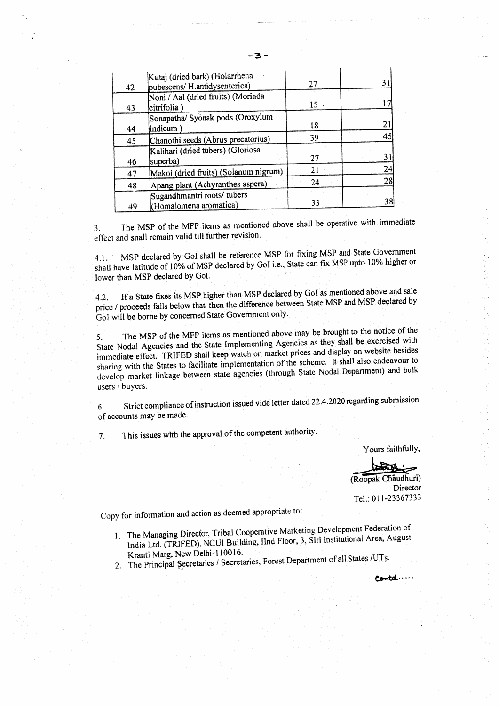| 42 | Kutaj (dried bark) (Holarrhena<br>pubescens/ H.antidysenterica) | 27  | 31 |
|----|-----------------------------------------------------------------|-----|----|
| 43 | Noni / Aal (dried fruits) (Morinda<br>citrifolia)               | 15. |    |
| 44 | Sonapatha/ Syonak pods (Oroxylum<br>(indicum                    | 18  | 21 |
| 45 | Chanothi seeds (Abrus precatorius)                              | 39  | 45 |
| 46 | Kalihari (dried tubers) (Gloriosa<br>superba)                   | 27  | 31 |
| 47 | Makoi (dried fruits) (Solanum nigrum)                           | 21  | 24 |
| 48 | Apang plant (Achyranthes aspera)                                | 24  | 28 |
| 49 | Sugandhmantri roots/ tubers<br>(Homalomena aromatica)           | 33  | 38 |

The MSP of the MFP items as mentioned above shall be operative with immediate 3. effect and shall remain valid till further revision.

MSP declared by GoI shall be reference MSP for fixing MSP and State Government  $4.1.$ shall have latitude of 10% of MSP declared by GoI i.e., State can fix MSP upto 10% higher or lower than MSP declared by Gol.

If a State fixes its MSP higher than MSP declared by GoI as mentioned above and sale  $4.2.$ price / proceeds falls below that, then the difference between State MSP and MSP declared by Gol will be borne by concerned State Government only.

The MSP of the MFP items as mentioned above may be brought to the notice of the 5. State Nodal Agencies and the State Implementing Agencies as they shall be exercised with immediate effect. TRIFED shall keep watch on market prices and display on website besides sharing with the States to facilitate implementation of the scheme. It shall also endeavour to develop market linkage between state agencies (through State Nodal Department) and bulk users / buyers.

Strict compliance of instruction issued vide letter dated 22.4.2020 regarding submission 6. of accounts may be made.

This issues with the approval of the competent authority.  $\overline{7}$ .

Yours faithfully,

(Roopak Chaudhuri)

Director Tel.: 011-23367333

Copy for information and action as deemed appropriate to:

- 1. The Managing Director, Tribal Cooperative Marketing Development Federation of India Ltd. (TRIFED), NCUI Building, IInd Floor, 3, Siri Institutional Area, August Kranti Marg, New Delhi-110016.
- 2. The Principal Secretaries / Secretaries, Forest Department of all States /UTs.

Contd....